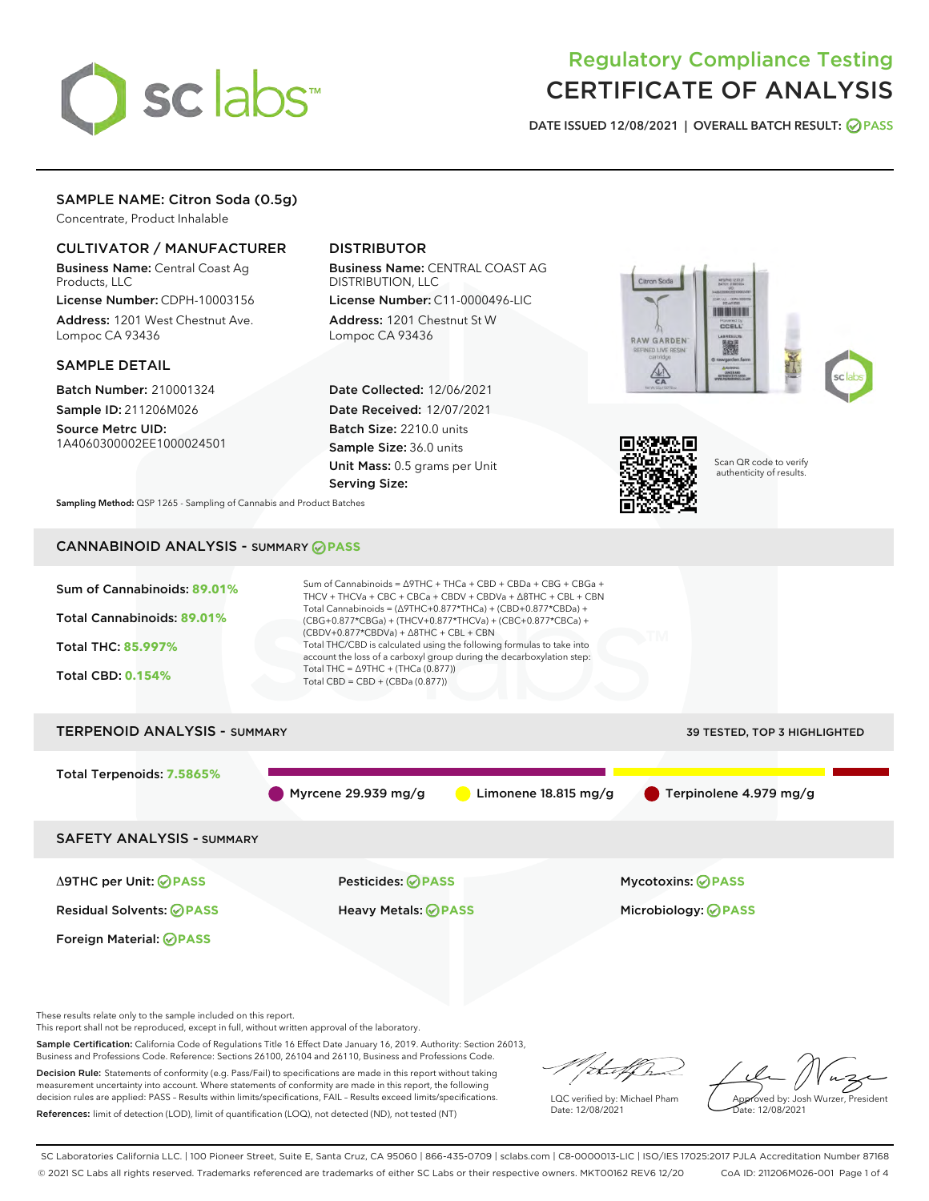

# Regulatory Compliance Testing CERTIFICATE OF ANALYSIS

DATE ISSUED 12/08/2021 | OVERALL BATCH RESULT: @ PASS

## SAMPLE NAME: Citron Soda (0.5g)

Concentrate, Product Inhalable

## CULTIVATOR / MANUFACTURER

Business Name: Central Coast Ag Products, LLC

License Number: CDPH-10003156 Address: 1201 West Chestnut Ave. Lompoc CA 93436

#### SAMPLE DETAIL

Batch Number: 210001324 Sample ID: 211206M026

Source Metrc UID: 1A4060300002EE1000024501

## DISTRIBUTOR

Business Name: CENTRAL COAST AG DISTRIBUTION, LLC

License Number: C11-0000496-LIC Address: 1201 Chestnut St W Lompoc CA 93436

Date Collected: 12/06/2021 Date Received: 12/07/2021 Batch Size: 2210.0 units Sample Size: 36.0 units Unit Mass: 0.5 grams per Unit Serving Size:





Scan QR code to verify authenticity of results.

Sampling Method: QSP 1265 - Sampling of Cannabis and Product Batches

## CANNABINOID ANALYSIS - SUMMARY **PASS**



This report shall not be reproduced, except in full, without written approval of the laboratory.

Sample Certification: California Code of Regulations Title 16 Effect Date January 16, 2019. Authority: Section 26013, Business and Professions Code. Reference: Sections 26100, 26104 and 26110, Business and Professions Code.

Decision Rule: Statements of conformity (e.g. Pass/Fail) to specifications are made in this report without taking measurement uncertainty into account. Where statements of conformity are made in this report, the following decision rules are applied: PASS – Results within limits/specifications, FAIL – Results exceed limits/specifications. References: limit of detection (LOD), limit of quantification (LOQ), not detected (ND), not tested (NT)

that f h

LQC verified by: Michael Pham Date: 12/08/2021

Approved by: Josh Wurzer, President Date: 12/08/2021

SC Laboratories California LLC. | 100 Pioneer Street, Suite E, Santa Cruz, CA 95060 | 866-435-0709 | sclabs.com | C8-0000013-LIC | ISO/IES 17025:2017 PJLA Accreditation Number 87168 © 2021 SC Labs all rights reserved. Trademarks referenced are trademarks of either SC Labs or their respective owners. MKT00162 REV6 12/20 CoA ID: 211206M026-001 Page 1 of 4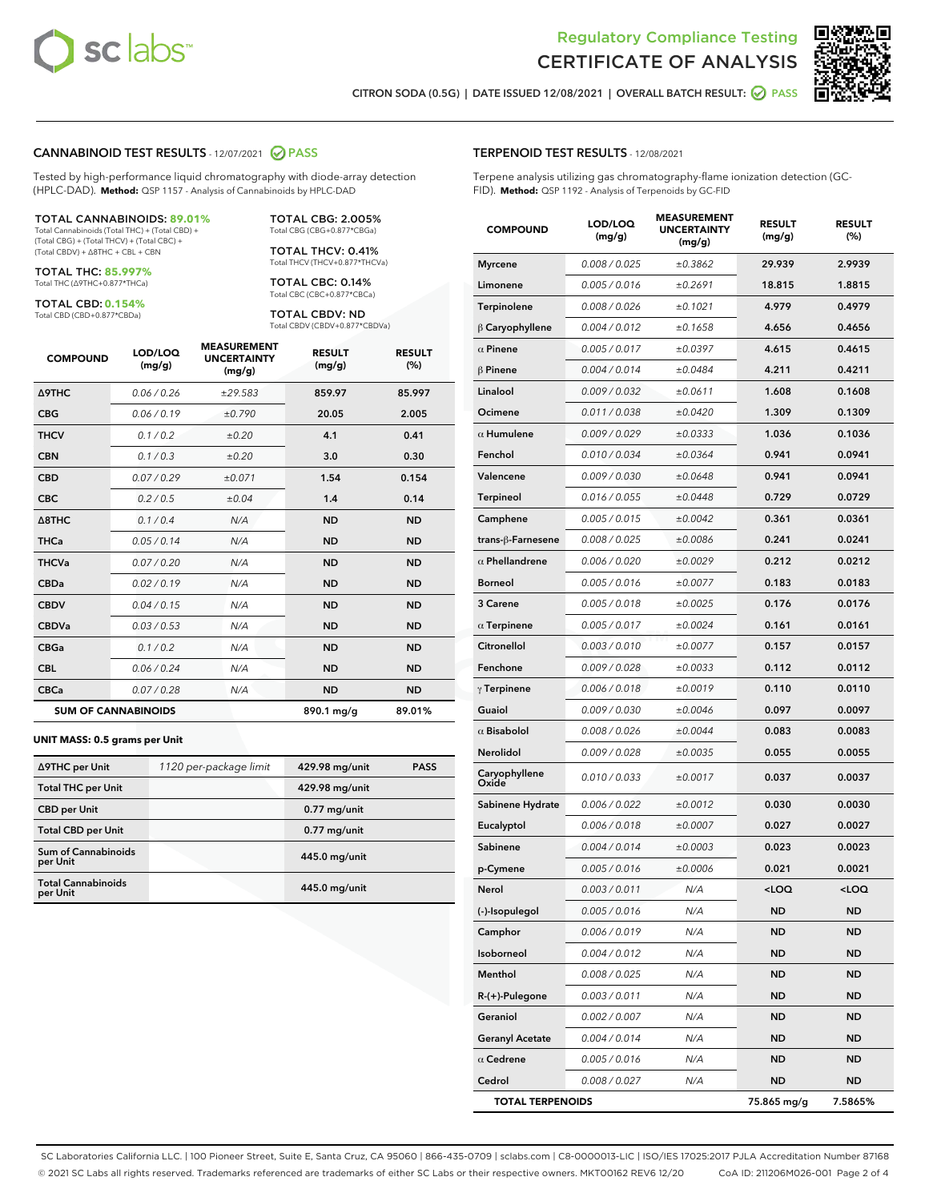



CITRON SODA (0.5G) | DATE ISSUED 12/08/2021 | OVERALL BATCH RESULT: @ PASS

#### CANNABINOID TEST RESULTS - 12/07/2021 2 PASS

Tested by high-performance liquid chromatography with diode-array detection (HPLC-DAD). **Method:** QSP 1157 - Analysis of Cannabinoids by HPLC-DAD

#### TOTAL CANNABINOIDS: **89.01%**

Total Cannabinoids (Total THC) + (Total CBD) + (Total CBG) + (Total THCV) + (Total CBC) + (Total CBDV) + ∆8THC + CBL + CBN

TOTAL THC: **85.997%** Total THC (∆9THC+0.877\*THCa)

TOTAL CBD: **0.154%**

Total CBD (CBD+0.877\*CBDa)

TOTAL CBG: 2.005% Total CBG (CBG+0.877\*CBGa)

TOTAL THCV: 0.41% Total THCV (THCV+0.877\*THCVa)

TOTAL CBC: 0.14% Total CBC (CBC+0.877\*CBCa)

TOTAL CBDV: ND Total CBDV (CBDV+0.877\*CBDVa)

| <b>COMPOUND</b>            | LOD/LOQ<br>(mg/g) | <b>MEASUREMENT</b><br><b>UNCERTAINTY</b><br>(mg/g) | <b>RESULT</b><br>(mg/g) | <b>RESULT</b><br>(%) |
|----------------------------|-------------------|----------------------------------------------------|-------------------------|----------------------|
| <b>A9THC</b>               | 0.06/0.26         | ±29.583                                            | 859.97                  | 85.997               |
| <b>CBG</b>                 | 0.06/0.19         | ±0.790                                             | 20.05                   | 2.005                |
| <b>THCV</b>                | 0.1/0.2           | ±0.20                                              | 4.1                     | 0.41                 |
| <b>CBN</b>                 | 0.1/0.3           | ±0.20                                              | 3.0                     | 0.30                 |
| <b>CBD</b>                 | 0.07/0.29         | ±0.071                                             | 1.54                    | 0.154                |
| <b>CBC</b>                 | 0.2 / 0.5         | ±0.04                                              | 1.4                     | 0.14                 |
| $\triangle$ 8THC           | 0.1/0.4           | N/A                                                | <b>ND</b>               | <b>ND</b>            |
| <b>THCa</b>                | 0.05/0.14         | N/A                                                | <b>ND</b>               | <b>ND</b>            |
| <b>THCVa</b>               | 0.07 / 0.20       | N/A                                                | <b>ND</b>               | <b>ND</b>            |
| <b>CBDa</b>                | 0.02/0.19         | N/A                                                | <b>ND</b>               | <b>ND</b>            |
| <b>CBDV</b>                | 0.04 / 0.15       | N/A                                                | <b>ND</b>               | <b>ND</b>            |
| <b>CBDVa</b>               | 0.03/0.53         | N/A                                                | <b>ND</b>               | <b>ND</b>            |
| <b>CBGa</b>                | 0.1/0.2           | N/A                                                | <b>ND</b>               | <b>ND</b>            |
| <b>CBL</b>                 | 0.06 / 0.24       | N/A                                                | <b>ND</b>               | <b>ND</b>            |
| <b>CBCa</b>                | 0.07 / 0.28       | N/A                                                | <b>ND</b>               | <b>ND</b>            |
| <b>SUM OF CANNABINOIDS</b> |                   |                                                    | 890.1 mg/g              | 89.01%               |

#### **UNIT MASS: 0.5 grams per Unit**

| ∆9THC per Unit                         | 1120 per-package limit | 429.98 mg/unit | <b>PASS</b> |
|----------------------------------------|------------------------|----------------|-------------|
| <b>Total THC per Unit</b>              |                        | 429.98 mg/unit |             |
| <b>CBD</b> per Unit                    |                        | $0.77$ mg/unit |             |
| <b>Total CBD per Unit</b>              |                        | $0.77$ mg/unit |             |
| <b>Sum of Cannabinoids</b><br>per Unit |                        | 445.0 mg/unit  |             |
| <b>Total Cannabinoids</b><br>per Unit  |                        | 445.0 mg/unit  |             |

| <b>COMPOUND</b>         | LOD/LOQ<br>(mg/g) | <b>MEASUREMEI</b><br><b>UNCERTAINTY</b><br>(mg/g) | <b>RESULT</b><br>(mg/g)                          | <b>RESULT</b><br>$(\%)$ |
|-------------------------|-------------------|---------------------------------------------------|--------------------------------------------------|-------------------------|
| <b>Myrcene</b>          | 0.008 / 0.025     | ±0.3862                                           | 29.939                                           | 2.9939                  |
| Limonene                | 0.005 / 0.016     | ±0.2691                                           | 18.815                                           | 1.8815                  |
| Terpinolene             | 0.008 / 0.026     | ±0.1021                                           | 4.979                                            | 0.4979                  |
| $\beta$ Caryophyllene   | 0.004 / 0.012     | ±0.1658                                           | 4.656                                            | 0.4656                  |
| $\alpha$ Pinene         | 0.005 / 0.017     | ±0.0397                                           | 4.615                                            | 0.4615                  |
| $\beta$ Pinene          | 0.004 / 0.014     | ±0.0484                                           | 4.211                                            | 0.4211                  |
| Linalool                | 0.009 / 0.032     | ±0.0611                                           | 1.608                                            | 0.1608                  |
| Ocimene                 | 0.011 / 0.038     | ±0.0420                                           | 1.309                                            | 0.1309                  |
| $\alpha$ Humulene       | 0.009/0.029       | ±0.0333                                           | 1.036                                            | 0.1036                  |
| Fenchol                 | 0.010 / 0.034     | ±0.0364                                           | 0.941                                            | 0.0941                  |
| Valencene               | 0.009 / 0.030     | ±0.0648                                           | 0.941                                            | 0.0941                  |
| <b>Terpineol</b>        | 0.016 / 0.055     | ±0.0448                                           | 0.729                                            | 0.0729                  |
| Camphene                | 0.005 / 0.015     | ±0.0042                                           | 0.361                                            | 0.0361                  |
| trans-ß-Farnesene       | 0.008 / 0.025     | ±0.0086                                           | 0.241                                            | 0.0241                  |
| $\alpha$ Phellandrene   | 0.006 / 0.020     | ±0.0029                                           | 0.212                                            | 0.0212                  |
| <b>Borneol</b>          | 0.005 / 0.016     | ±0.0077                                           | 0.183                                            | 0.0183                  |
| 3 Carene                | 0.005 / 0.018     | ±0.0025                                           | 0.176                                            | 0.0176                  |
| $\alpha$ Terpinene      | 0.005 / 0.017     | ±0.0024                                           | 0.161                                            | 0.0161                  |
| Citronellol             | 0.003 / 0.010     | ±0.0077                                           | 0.157                                            | 0.0157                  |
| Fenchone                | 0.009 / 0.028     | ±0.0033                                           | 0.112                                            | 0.0112                  |
| $\gamma$ Terpinene      | 0.006 / 0.018     | ±0.0019                                           | 0.110                                            | 0.0110                  |
| Guaiol                  | 0.009 / 0.030     | ±0.0046                                           | 0.097                                            | 0.0097                  |
| $\alpha$ Bisabolol      | 0.008 / 0.026     | ±0.0044                                           | 0.083                                            | 0.0083                  |
| Nerolidol               | 0.009 / 0.028     | ±0.0035                                           | 0.055                                            | 0.0055                  |
| Caryophyllene<br>Oxide  | 0.010 / 0.033     | ±0.0017                                           | 0.037                                            | 0.0037                  |
| Sabinene Hydrate        | 0.006 / 0.022     | ±0.0012                                           | 0.030                                            | 0.0030                  |
| Eucalyptol              | 0.006 / 0.018     | ±0.0007                                           | 0.027                                            | 0.0027                  |
| Sabinene                | 0.004 / 0.014     | ±0.0003                                           | 0.023                                            | 0.0023                  |
| p-Cymene                | 0.005 / 0.016     | ±0.0006                                           | 0.021                                            | 0.0021                  |
| Nerol                   | 0.003 / 0.011     | N/A                                               | <loq< th=""><th><math>&lt;</math>LOQ</th></loq<> | $<$ LOQ                 |
| (-)-Isopulegol          | 0.005 / 0.016     | N/A                                               | ND                                               | ND                      |
| Camphor                 | 0.006 / 0.019     | N/A                                               | <b>ND</b>                                        | ND                      |
| Isoborneol              | 0.004 / 0.012     | N/A                                               | ND                                               | ND                      |
| Menthol                 | 0.008 / 0.025     | N/A                                               | ND                                               | ND                      |
| R-(+)-Pulegone          | 0.003 / 0.011     | N/A                                               | ND                                               | <b>ND</b>               |
| Geraniol                | 0.002 / 0.007     | N/A                                               | ND                                               | ND                      |
| <b>Geranyl Acetate</b>  | 0.004 / 0.014     | N/A                                               | ND                                               | ND                      |
| $\alpha$ Cedrene        | 0.005 / 0.016     | N/A                                               | <b>ND</b>                                        | ND                      |
| Cedrol                  | 0.008 / 0.027     | N/A                                               | ND                                               | ND                      |
| <b>TOTAL TERPENOIDS</b> |                   |                                                   | 75.865 mg/g                                      | 7.5865%                 |

SC Laboratories California LLC. | 100 Pioneer Street, Suite E, Santa Cruz, CA 95060 | 866-435-0709 | sclabs.com | C8-0000013-LIC | ISO/IES 17025:2017 PJLA Accreditation Number 87168 © 2021 SC Labs all rights reserved. Trademarks referenced are trademarks of either SC Labs or their respective owners. MKT00162 REV6 12/20 CoA ID: 211206M026-001 Page 2 of 4

## TERPENOID TEST RESULTS - 12/08/2021

Terpene analysis utilizing gas chromatography-flame ionization detection (GC-FID). **Method:** QSP 1192 - Analysis of Terpenoids by GC-FID

MEASUREMENT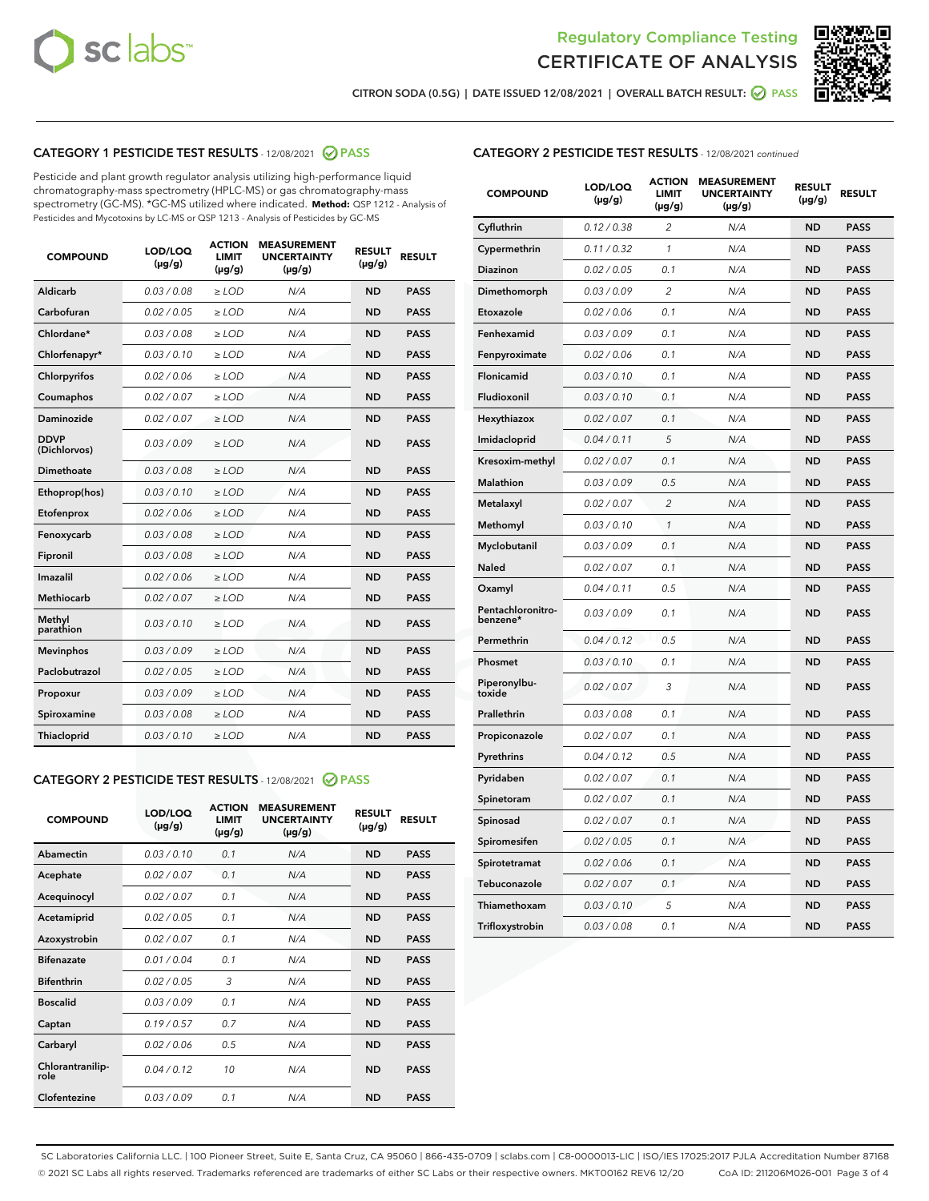



CITRON SODA (0.5G) | DATE ISSUED 12/08/2021 | OVERALL BATCH RESULT: ● PASS

## CATEGORY 1 PESTICIDE TEST RESULTS - 12/08/2021 2 PASS

Pesticide and plant growth regulator analysis utilizing high-performance liquid chromatography-mass spectrometry (HPLC-MS) or gas chromatography-mass spectrometry (GC-MS). \*GC-MS utilized where indicated. **Method:** QSP 1212 - Analysis of Pesticides and Mycotoxins by LC-MS or QSP 1213 - Analysis of Pesticides by GC-MS

| <b>COMPOUND</b>             | LOD/LOQ<br>$(\mu g/g)$ | <b>ACTION</b><br><b>LIMIT</b><br>$(\mu g/g)$ | <b>MEASUREMENT</b><br><b>UNCERTAINTY</b><br>$(\mu g/g)$ | <b>RESULT</b><br>$(\mu g/g)$ | <b>RESULT</b> |
|-----------------------------|------------------------|----------------------------------------------|---------------------------------------------------------|------------------------------|---------------|
| Aldicarb                    | 0.03/0.08              | $>$ LOD                                      | N/A                                                     | <b>ND</b>                    | <b>PASS</b>   |
| Carbofuran                  | 0.02 / 0.05            | $\ge$ LOD                                    | N/A                                                     | <b>ND</b>                    | <b>PASS</b>   |
| Chlordane*                  | 0.03/0.08              | $>$ LOD                                      | N/A                                                     | <b>ND</b>                    | <b>PASS</b>   |
| Chlorfenapyr*               | 0.03 / 0.10            | $\ge$ LOD                                    | N/A                                                     | <b>ND</b>                    | <b>PASS</b>   |
| Chlorpyrifos                | 0.02 / 0.06            | $\ge$ LOD                                    | N/A                                                     | <b>ND</b>                    | <b>PASS</b>   |
| Coumaphos                   | 0.02 / 0.07            | $\ge$ LOD                                    | N/A                                                     | <b>ND</b>                    | <b>PASS</b>   |
| Daminozide                  | 0.02 / 0.07            | $\ge$ LOD                                    | N/A                                                     | <b>ND</b>                    | <b>PASS</b>   |
| <b>DDVP</b><br>(Dichlorvos) | 0.03/0.09              | $\ge$ LOD                                    | N/A                                                     | <b>ND</b>                    | <b>PASS</b>   |
| <b>Dimethoate</b>           | 0.03/0.08              | $\ge$ LOD                                    | N/A                                                     | <b>ND</b>                    | <b>PASS</b>   |
| Ethoprop(hos)               | 0.03/0.10              | $\ge$ LOD                                    | N/A                                                     | <b>ND</b>                    | <b>PASS</b>   |
| Etofenprox                  | 0.02 / 0.06            | $\ge$ LOD                                    | N/A                                                     | <b>ND</b>                    | <b>PASS</b>   |
| Fenoxycarb                  | 0.03 / 0.08            | $\ge$ LOD                                    | N/A                                                     | <b>ND</b>                    | <b>PASS</b>   |
| Fipronil                    | 0.03/0.08              | $>$ LOD                                      | N/A                                                     | <b>ND</b>                    | <b>PASS</b>   |
| Imazalil                    | 0.02 / 0.06            | $\ge$ LOD                                    | N/A                                                     | <b>ND</b>                    | <b>PASS</b>   |
| Methiocarb                  | 0.02 / 0.07            | $\ge$ LOD                                    | N/A                                                     | <b>ND</b>                    | <b>PASS</b>   |
| Methyl<br>parathion         | 0.03/0.10              | $\ge$ LOD                                    | N/A                                                     | <b>ND</b>                    | <b>PASS</b>   |
| <b>Mevinphos</b>            | 0.03/0.09              | $\ge$ LOD                                    | N/A                                                     | <b>ND</b>                    | <b>PASS</b>   |
| Paclobutrazol               | 0.02 / 0.05            | $>$ LOD                                      | N/A                                                     | <b>ND</b>                    | <b>PASS</b>   |
| Propoxur                    | 0.03/0.09              | $\ge$ LOD                                    | N/A                                                     | <b>ND</b>                    | <b>PASS</b>   |
| Spiroxamine                 | 0.03 / 0.08            | $\ge$ LOD                                    | N/A                                                     | <b>ND</b>                    | <b>PASS</b>   |
| Thiacloprid                 | 0.03/0.10              | $\ge$ LOD                                    | N/A                                                     | <b>ND</b>                    | <b>PASS</b>   |
|                             |                        |                                              |                                                         |                              |               |

#### CATEGORY 2 PESTICIDE TEST RESULTS - 12/08/2021 @ PASS

| <b>COMPOUND</b>          | LOD/LOQ<br>$(\mu g/g)$ | <b>ACTION</b><br><b>LIMIT</b><br>$(\mu g/g)$ | <b>MEASUREMENT</b><br><b>UNCERTAINTY</b><br>$(\mu g/g)$ | <b>RESULT</b><br>$(\mu g/g)$ | <b>RESULT</b> |
|--------------------------|------------------------|----------------------------------------------|---------------------------------------------------------|------------------------------|---------------|
| Abamectin                | 0.03/0.10              | 0.1                                          | N/A                                                     | <b>ND</b>                    | <b>PASS</b>   |
| Acephate                 | 0.02/0.07              | 0.1                                          | N/A                                                     | <b>ND</b>                    | <b>PASS</b>   |
| Acequinocyl              | 0.02/0.07              | 0.1                                          | N/A                                                     | <b>ND</b>                    | <b>PASS</b>   |
| Acetamiprid              | 0.02/0.05              | 0.1                                          | N/A                                                     | <b>ND</b>                    | <b>PASS</b>   |
| Azoxystrobin             | 0 02 / 0 07            | 0.1                                          | N/A                                                     | <b>ND</b>                    | <b>PASS</b>   |
| <b>Bifenazate</b>        | 0.01/0.04              | 0.1                                          | N/A                                                     | <b>ND</b>                    | <b>PASS</b>   |
| <b>Bifenthrin</b>        | 0.02 / 0.05            | 3                                            | N/A                                                     | <b>ND</b>                    | <b>PASS</b>   |
| <b>Boscalid</b>          | 0.03/0.09              | 0.1                                          | N/A                                                     | <b>ND</b>                    | <b>PASS</b>   |
| Captan                   | 0.19/0.57              | 0.7                                          | N/A                                                     | <b>ND</b>                    | <b>PASS</b>   |
| Carbaryl                 | 0.02/0.06              | 0.5                                          | N/A                                                     | <b>ND</b>                    | <b>PASS</b>   |
| Chlorantranilip-<br>role | 0.04/0.12              | 10                                           | N/A                                                     | <b>ND</b>                    | <b>PASS</b>   |
| Clofentezine             | 0.03/0.09              | 0.1                                          | N/A                                                     | <b>ND</b>                    | <b>PASS</b>   |

## CATEGORY 2 PESTICIDE TEST RESULTS - 12/08/2021 continued

| <b>COMPOUND</b>               | LOD/LOQ<br>(µg/g) | <b>ACTION</b><br><b>LIMIT</b><br>$(\mu g/g)$ | <b>MEASUREMENT</b><br><b>UNCERTAINTY</b><br>$(\mu g/g)$ | <b>RESULT</b><br>(µg/g) | <b>RESULT</b> |
|-------------------------------|-------------------|----------------------------------------------|---------------------------------------------------------|-------------------------|---------------|
| Cyfluthrin                    | 0.12 / 0.38       | $\overline{c}$                               | N/A                                                     | ND                      | <b>PASS</b>   |
| Cypermethrin                  | 0.11 / 0.32       | 1                                            | N/A                                                     | ND                      | <b>PASS</b>   |
| Diazinon                      | 0.02 / 0.05       | 0.1                                          | N/A                                                     | <b>ND</b>               | <b>PASS</b>   |
| Dimethomorph                  | 0.03 / 0.09       | 2                                            | N/A                                                     | ND                      | <b>PASS</b>   |
| Etoxazole                     | 0.02 / 0.06       | 0.1                                          | N/A                                                     | ND                      | <b>PASS</b>   |
| Fenhexamid                    | 0.03 / 0.09       | 0.1                                          | N/A                                                     | <b>ND</b>               | <b>PASS</b>   |
| Fenpyroximate                 | 0.02 / 0.06       | 0.1                                          | N/A                                                     | ND                      | <b>PASS</b>   |
| Flonicamid                    | 0.03 / 0.10       | 0.1                                          | N/A                                                     | ND                      | <b>PASS</b>   |
| Fludioxonil                   | 0.03 / 0.10       | 0.1                                          | N/A                                                     | <b>ND</b>               | <b>PASS</b>   |
| Hexythiazox                   | 0.02 / 0.07       | 0.1                                          | N/A                                                     | <b>ND</b>               | <b>PASS</b>   |
| Imidacloprid                  | 0.04 / 0.11       | 5                                            | N/A                                                     | ND                      | <b>PASS</b>   |
| Kresoxim-methyl               | 0.02 / 0.07       | 0.1                                          | N/A                                                     | <b>ND</b>               | <b>PASS</b>   |
| Malathion                     | 0.03 / 0.09       | 0.5                                          | N/A                                                     | ND                      | <b>PASS</b>   |
| Metalaxyl                     | 0.02 / 0.07       | $\overline{c}$                               | N/A                                                     | ND                      | PASS          |
| Methomyl                      | 0.03 / 0.10       | 1                                            | N/A                                                     | <b>ND</b>               | <b>PASS</b>   |
| Myclobutanil                  | 0.03 / 0.09       | 0.1                                          | N/A                                                     | ND                      | <b>PASS</b>   |
| Naled                         | 0.02 / 0.07       | 0.1                                          | N/A                                                     | ND                      | <b>PASS</b>   |
| Oxamyl                        | 0.04 / 0.11       | 0.5                                          | N/A                                                     | ND                      | <b>PASS</b>   |
| Pentachloronitro-<br>benzene* | 0.03 / 0.09       | 0.1                                          | N/A                                                     | ND                      | <b>PASS</b>   |
| Permethrin                    | 0.04 / 0.12       | 0.5                                          | N/A                                                     | <b>ND</b>               | <b>PASS</b>   |
| Phosmet                       | 0.03 / 0.10       | 0.1                                          | N/A                                                     | ND                      | <b>PASS</b>   |
| Piperonylbu-<br>toxide        | 0.02 / 0.07       | 3                                            | N/A                                                     | ND                      | <b>PASS</b>   |
| Prallethrin                   | 0.03 / 0.08       | 0.1                                          | N/A                                                     | ND                      | <b>PASS</b>   |
| Propiconazole                 | 0.02 / 0.07       | 0.1                                          | N/A                                                     | ND                      | <b>PASS</b>   |
| Pyrethrins                    | 0.04 / 0.12       | 0.5                                          | N/A                                                     | <b>ND</b>               | <b>PASS</b>   |
| Pyridaben                     | 0.02 / 0.07       | 0.1                                          | N/A                                                     | ND                      | <b>PASS</b>   |
| Spinetoram                    | 0.02 / 0.07       | 0.1                                          | N/A                                                     | ND                      | PASS          |
| Spinosad                      | 0.02 / 0.07       | 0.1                                          | N/A                                                     | <b>ND</b>               | <b>PASS</b>   |
| Spiromesifen                  | 0.02 / 0.05       | 0.1                                          | N/A                                                     | ND                      | <b>PASS</b>   |
| Spirotetramat                 | 0.02 / 0.06       | 0.1                                          | N/A                                                     | ND                      | <b>PASS</b>   |
| Tebuconazole                  | 0.02 / 0.07       | 0.1                                          | N/A                                                     | ND                      | <b>PASS</b>   |
| Thiamethoxam                  | 0.03 / 0.10       | 5                                            | N/A                                                     | ND                      | <b>PASS</b>   |
| Trifloxystrobin               | 0.03 / 0.08       | 0.1                                          | N/A                                                     | <b>ND</b>               | <b>PASS</b>   |

SC Laboratories California LLC. | 100 Pioneer Street, Suite E, Santa Cruz, CA 95060 | 866-435-0709 | sclabs.com | C8-0000013-LIC | ISO/IES 17025:2017 PJLA Accreditation Number 87168 © 2021 SC Labs all rights reserved. Trademarks referenced are trademarks of either SC Labs or their respective owners. MKT00162 REV6 12/20 CoA ID: 211206M026-001 Page 3 of 4